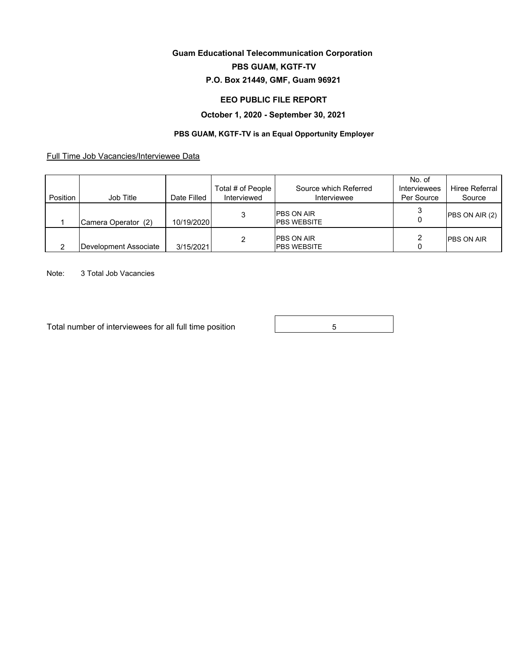# **Guam Educational Telecommunication Corporation**

### **PBS GUAM, KGTF-TV**

## **P.O. Box 21449, GMF, Guam 96921**

#### **EEO PUBLIC FILE REPORT**

#### **October 1, 2020 - September 30, 2021**

### **PBS GUAM, KGTF-TV is an Equal Opportunity Employer**

Full Time Job Vacancies/Interviewee Data

| Position | Job Title             | Date Filled | Total # of People<br>Interviewed | Source which Referred<br>Interviewee    | No. of<br>Interviewees<br>Per Source | Hiree Referral<br>Source |
|----------|-----------------------|-------------|----------------------------------|-----------------------------------------|--------------------------------------|--------------------------|
|          | Camera Operator (2)   | 10/19/2020  | 3                                | <b>PBS ON AIR</b><br><b>PBS WEBSITE</b> |                                      | PBS ON AIR (2)           |
|          | Development Associate | 3/15/2021   | 2                                | <b>PBS ON AIR</b><br><b>PBS WEBSITE</b> |                                      | <b>IPBS ON AIR</b>       |

Note: 3 Total Job Vacancies

Total number of interviewees for all full time position **Fig. 1** 6

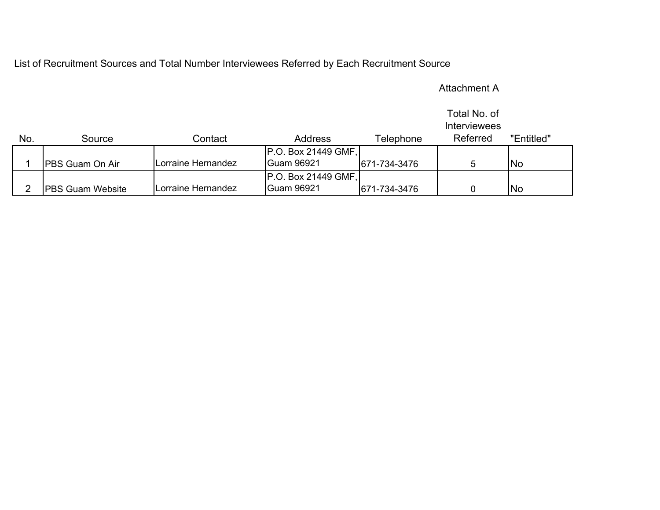List of Recruitment Sources and Total Number Interviewees Referred by Each Recruitment Source

# Attachment A

|     |                          |                    |                     |              | Total No. of<br>Interviewees |            |
|-----|--------------------------|--------------------|---------------------|--------------|------------------------------|------------|
| No. | Source                   | Contact            | <b>Address</b>      | Telephone    | Referred                     | "Entitled" |
|     |                          |                    | P.O. Box 21449 GMF, |              |                              |            |
|     | <b>IPBS Guam On Air</b>  | Lorraine Hernandez | <b>Guam 96921</b>   | 671-734-3476 |                              | <b>No</b>  |
|     |                          |                    | P.O. Box 21449 GMF, |              |                              |            |
|     | <b>IPBS Guam Website</b> | Lorraine Hernandez | <b>Guam 96921</b>   | 671-734-3476 |                              | <b>No</b>  |